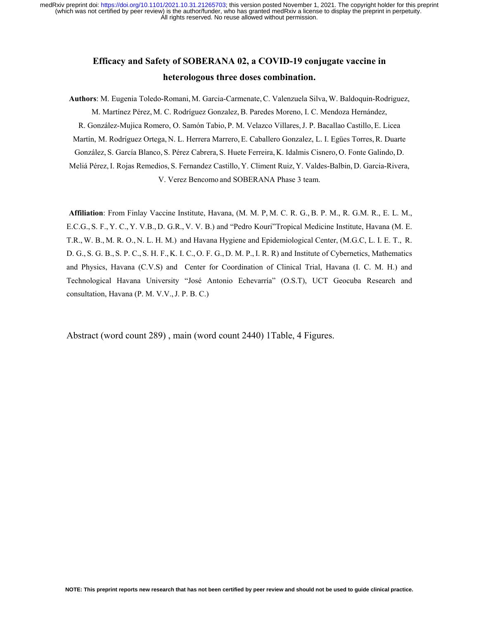# **Efficacy and Safety of SOBERANA 02, a COVID-19 conjugate vaccine in heterologous three doses combination.**

**Authors**: M. Eugenia Toledo-Romani, M. Garcia-Carmenate,C. Valenzuela Silva,W. Baldoquin-Rodriguez, M. Martínez Pérez, M. C. Rodríguez Gonzalez,B. Paredes Moreno, I. C. Mendoza Hernández, R. González-Mujica Romero, O. Samón Tabio, P. M. Velazco Villares,J. P. Bacallao Castillo, E. Licea

Martín, M. Rodríguez Ortega, N. L. Herrera Marrero, E. Caballero Gonzalez, L. I. Egües Torres,R. Duarte

González, S. García Blanco, S. Pérez Cabrera, S. Huete Ferreira, K. Idalmis Cisnero, O. Fonte Galindo, D.

Meliá Pérez,I. Rojas Remedios, S. Fernandez Castillo, Y. Climent Ruiz, Y. Valdes-Balbin, D. Garcia-Rivera, V. Verez Bencomo and SOBERANA Phase 3 team.

**Affiliation**: From Finlay Vaccine Institute, Havana, (M. M. P, M. C. R. G., B. P. M., R. G.M. R., E. L. M., E.C.G., S. F., Y. C., Y. V.B., D. G.R., V. V. B.) and "Pedro Kouri"Tropical Medicine Institute, Havana (M. E. T.R., W. B., M. R. O., N. L. H. M.) and Havana Hygiene and Epidemiological Center, (M.G.C, L. I. E. T., R. D. G., S. G. B., S. P. C., S. H. F., K. I. C., O. F. G., D. M. P.,I. R. R) and Institute of Cybernetics, Mathematics and Physics, Havana (C.V.S) and Center for Coordination of Clinical Trial, Havana (I. C. M. H.) and Technological Havana University "José Antonio Echevarría" (O.S.T), UCT Geocuba Research and consultation, Havana (P. M. V.V.,J. P. B. C.)

Abstract (word count 289) , main (word count 2440) 1Table, 4 Figures.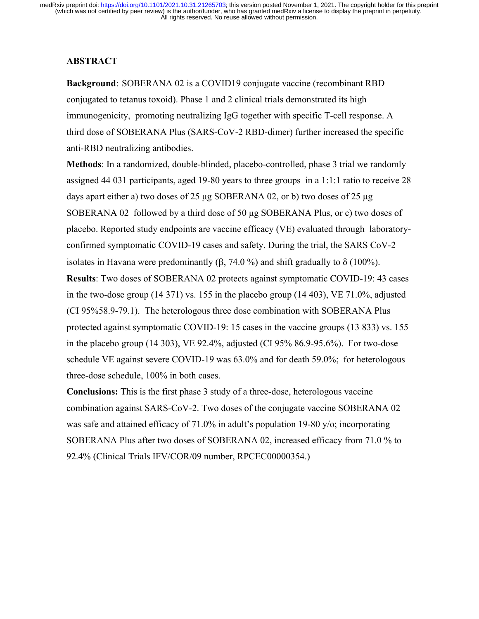### **ABSTRACT**

**Background**: SOBERANA 02 is a COVID19 conjugate vaccine (recombinant RBD conjugated to tetanus toxoid). Phase 1 and 2 clinical trials demonstrated its high immunogenicity, promoting neutralizing IgG together with specific T-cell response. A third dose of SOBERANA Plus (SARS-CoV-2 RBD-dimer) further increased the specific anti-RBD neutralizing antibodies.

**Methods**: In a randomized, double-blinded, placebo-controlled, phase 3 trial we randomly assigned 44 031 participants, aged 19-80 years to three groups in a 1:1:1 ratio to receive 28 days apart either a) two doses of 25 μg SOBERANA 02, or b) two doses of 25 μg SOBERANA 02 followed by a third dose of 50 μg SOBERANA Plus, or c) two doses of placebo. Reported study endpoints are vaccine efficacy (VE) evaluated through laboratoryconfirmed symptomatic COVID-19 cases and safety. During the trial, the SARS CoV-2 isolates in Havana were predominantly ( $\beta$ , 74.0 %) and shift gradually to  $\delta$  (100%). **Results**: Two doses of SOBERANA 02 protects against symptomatic COVID-19: 43 cases in the two-dose group (14 371) vs. 155 in the placebo group (14 403), VE 71.0%, adjusted (CI 95%58.9-79.1). The heterologous three dose combination with SOBERANA Plus protected against symptomatic COVID-19: 15 cases in the vaccine groups (13 833) vs. 155 in the placebo group (14 303), VE 92.4%, adjusted (CI 95% 86.9-95.6%). For two-dose schedule VE against severe COVID-19 was 63.0% and for death 59.0%; for heterologous

three-dose schedule, 100% in both cases.

**Conclusions:** This is the first phase 3 study of a three-dose, heterologous vaccine combination against SARS-CoV-2. Two doses of the conjugate vaccine SOBERANA 02 was safe and attained efficacy of 71.0% in adult's population 19-80 y/o; incorporating SOBERANA Plus after two doses of SOBERANA 02, increased efficacy from 71.0 % to 92.4% (Clinical Trials IFV/COR/09 number, RPCEC00000354.)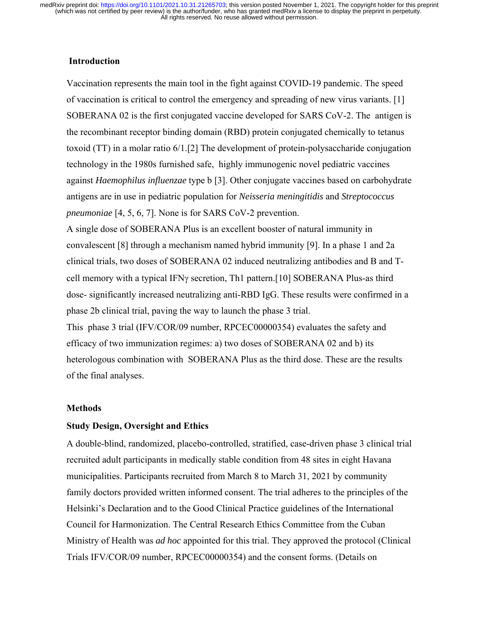### **Introduction**

Vaccination represents the main tool in the fight against COVID-19 pandemic. The speed of vaccination is critical to control the emergency and spreading of new virus variants. [1] SOBERANA 02 is the first conjugated vaccine developed for SARS CoV-2. The antigen is the recombinant receptor binding domain (RBD) protein conjugated chemically to tetanus toxoid (TT) in a molar ratio 6/1.[2] The development of protein-polysaccharide conjugation technology in the 1980s furnished safe, highly immunogenic novel pediatric vaccines against *Haemophilus influenzae* type b [3]. Other conjugate vaccines based on carbohydrate antigens are in use in pediatric population for *Neisseria meningitidis* and *Streptococcus pneumoniae* [4, 5, 6, 7]. None is for SARS CoV-2 prevention.

A single dose of SOBERANA Plus is an excellent booster of natural immunity in convalescent [8] through a mechanism named hybrid immunity [9]. In a phase 1 and 2a clinical trials, two doses of SOBERANA 02 induced neutralizing antibodies and B and Tcell memory with a typical IFN $\gamma$  secretion, Th1 pattern.[10] SOBERANA Plus-as third dose- significantly increased neutralizing anti-RBD IgG. These results were confirmed in a phase 2b clinical trial, paving the way to launch the phase 3 trial.

This phase 3 trial (IFV/COR/09 number, RPCEC00000354) evaluates the safety and efficacy of two immunization regimes: a) two doses of SOBERANA 02 and b) its heterologous combination with SOBERANA Plus as the third dose. These are the results of the final analyses.

#### **Methods**

### **Study Design, Oversight and Ethics**

A double-blind, randomized, placebo-controlled, stratified, case-driven phase 3 clinical trial recruited adult participants in medically stable condition from 48 sites in eight Havana municipalities. Participants recruited from March 8 to March 31, 2021 by community family doctors provided written informed consent. The trial adheres to the principles of the Helsinki's Declaration and to the Good Clinical Practice guidelines of the International Council for Harmonization. The Central Research Ethics Committee from the Cuban Ministry of Health was *ad hoc* appointed for this trial. They approved the protocol (Clinical Trials IFV/COR/09 number, RPCEC00000354) and the consent forms. (Details on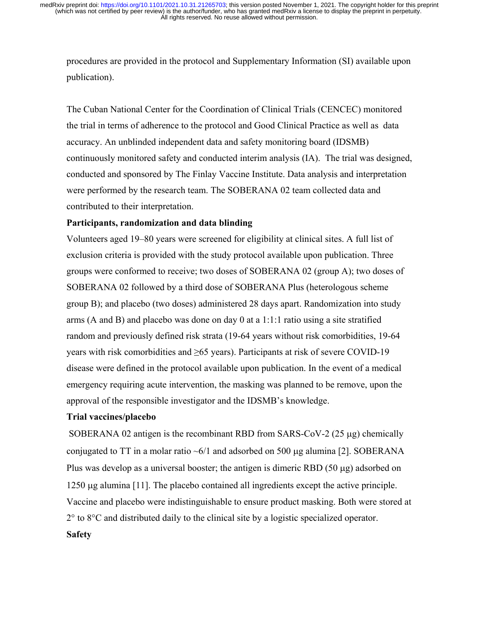procedures are provided in the protocol and Supplementary Information (SI) available upon publication).

The Cuban National Center for the Coordination of Clinical Trials (CENCEC) monitored the trial in terms of adherence to the protocol and Good Clinical Practice as well as data accuracy. An unblinded independent data and safety monitoring board (IDSMB) continuously monitored safety and conducted interim analysis (IA). The trial was designed, conducted and sponsored by The Finlay Vaccine Institute. Data analysis and interpretation were performed by the research team. The SOBERANA 02 team collected data and contributed to their interpretation.

### **Participants, randomization and data blinding**

Volunteers aged 19–80 years were screened for eligibility at clinical sites. A full list of exclusion criteria is provided with the study protocol available upon publication. Three groups were conformed to receive; two doses of SOBERANA 02 (group A); two doses of SOBERANA 02 followed by a third dose of SOBERANA Plus (heterologous scheme group B); and placebo (two doses) administered 28 days apart. Randomization into study arms (A and B) and placebo was done on day 0 at a 1:1:1 ratio using a site stratified random and previously defined risk strata (19-64 years without risk comorbidities, 19-64 years with risk comorbidities and ≥65 years). Participants at risk of severe COVID-19 disease were defined in the protocol available upon publication. In the event of a medical emergency requiring acute intervention, the masking was planned to be remove, upon the approval of the responsible investigator and the IDSMB's knowledge.

### **Trial vaccines/placebo**

SOBERANA 02 antigen is the recombinant RBD from SARS-CoV-2  $(25 \mu g)$  chemically conjugated to TT in a molar ratio  $~6/1$  and adsorbed on 500 µg alumina [2]. SOBERANA Plus was develop as a universal booster; the antigen is dimeric RBD  $(50 \mu g)$  adsorbed on  $1250 \mu$ g alumina [11]. The placebo contained all ingredients except the active principle. Vaccine and placebo were indistinguishable to ensure product masking. Both were stored at 2° to 8°C and distributed daily to the clinical site by a logistic specialized operator. **Safety**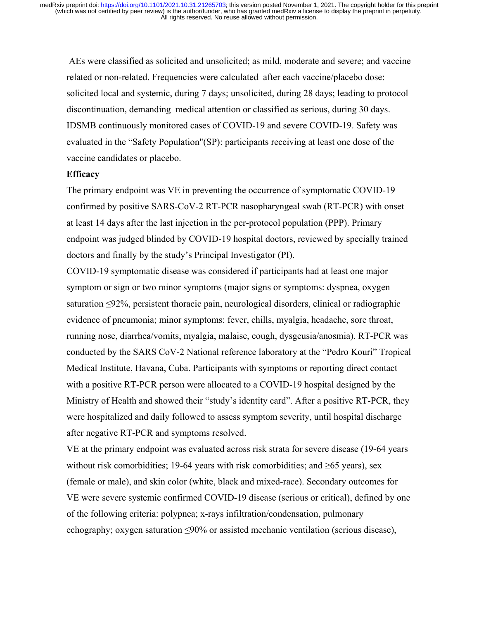AEs were classified as solicited and unsolicited; as mild, moderate and severe; and vaccine related or non-related. Frequencies were calculated after each vaccine/placebo dose: solicited local and systemic, during 7 days; unsolicited, during 28 days; leading to protocol discontinuation, demanding medical attention or classified as serious, during 30 days. IDSMB continuously monitored cases of COVID-19 and severe COVID-19. Safety was evaluated in the "Safety Population"(SP): participants receiving at least one dose of the vaccine candidates or placebo.

### **Efficacy**

The primary endpoint was VE in preventing the occurrence of symptomatic COVID-19 confirmed by positive SARS-CoV-2 RT-PCR nasopharyngeal swab (RT-PCR) with onset at least 14 days after the last injection in the per-protocol population (PPP). Primary endpoint was judged blinded by COVID-19 hospital doctors, reviewed by specially trained doctors and finally by the study's Principal Investigator (PI).

COVID-19 symptomatic disease was considered if participants had at least one major symptom or sign or two minor symptoms (major signs or symptoms: dyspnea, oxygen saturation ≤92%, persistent thoracic pain, neurological disorders, clinical or radiographic evidence of pneumonia; minor symptoms: fever, chills, myalgia, headache, sore throat, running nose, diarrhea/vomits, myalgia, malaise, cough, dysgeusia/anosmia). RT-PCR was conducted by the SARS CoV-2 National reference laboratory at the "Pedro Kouri" Tropical Medical Institute, Havana, Cuba. Participants with symptoms or reporting direct contact with a positive RT-PCR person were allocated to a COVID-19 hospital designed by the Ministry of Health and showed their "study's identity card". After a positive RT-PCR, they were hospitalized and daily followed to assess symptom severity, until hospital discharge after negative RT-PCR and symptoms resolved.

VE at the primary endpoint was evaluated across risk strata for severe disease (19-64 years without risk comorbidities; 19-64 years with risk comorbidities; and  $\geq 65$  years), sex (female or male), and skin color (white, black and mixed-race). Secondary outcomes for VE were severe systemic confirmed COVID-19 disease (serious or critical), defined by one of the following criteria: polypnea; x-rays infiltration/condensation, pulmonary echography; oxygen saturation ≤90% or assisted mechanic ventilation (serious disease),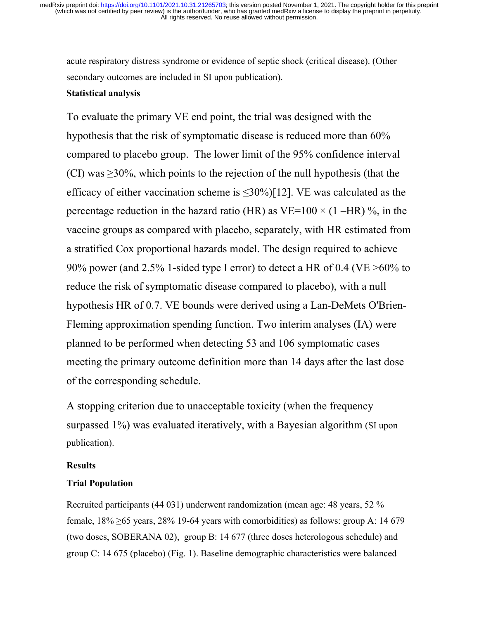acute respiratory distress syndrome or evidence of septic shock (critical disease). (Other secondary outcomes are included in SI upon publication).

### **Statistical analysis**

To evaluate the primary VE end point, the trial was designed with the hypothesis that the risk of symptomatic disease is reduced more than 60% compared to placebo group. The lower limit of the 95% confidence interval (CI) was  $\geq$ 30%, which points to the rejection of the null hypothesis (that the efficacy of either vaccination scheme is  $\leq 30\%$  [12]. VE was calculated as the percentage reduction in the hazard ratio (HR) as  $VE=100 \times (1 - HR)$ %, in the vaccine groups as compared with placebo, separately, with HR estimated from a stratified Cox proportional hazards model. The design required to achieve 90% power (and 2.5% 1-sided type I error) to detect a HR of 0.4 (VE >60% to reduce the risk of symptomatic disease compared to placebo), with a null hypothesis HR of 0.7. VE bounds were derived using a Lan-DeMets O'Brien-Fleming approximation spending function. Two interim analyses (IA) were planned to be performed when detecting 53 and 106 symptomatic cases meeting the primary outcome definition more than 14 days after the last dose of the corresponding schedule.

A stopping criterion due to unacceptable toxicity (when the frequency surpassed 1%) was evaluated iteratively, with a Bayesian algorithm (SI upon publication).

### **Results**

## **Trial Population**

Recruited participants (44 031) underwent randomization (mean age: 48 years, 52 % female,  $18\% \ge 65$  years,  $28\%$  19-64 years with comorbidities) as follows: group A: 14 679 (two doses, SOBERANA 02), group B: 14 677 (three doses heterologous schedule) and group C: 14 675 (placebo) (Fig. 1). Baseline demographic characteristics were balanced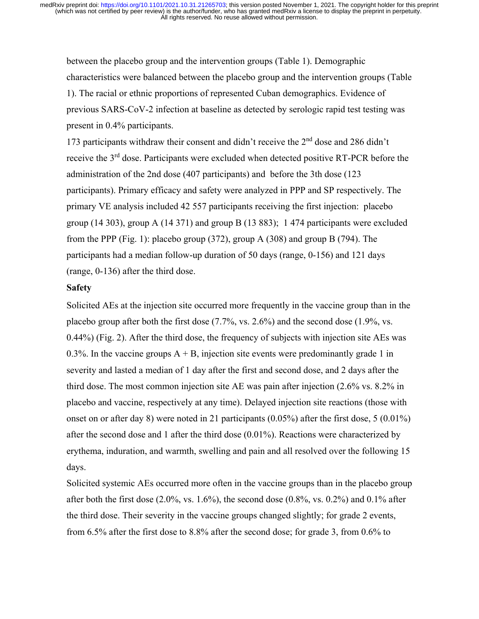between the placebo group and the intervention groups (Table 1). Demographic characteristics were balanced between the placebo group and the intervention groups (Table 1). The racial or ethnic proportions of represented Cuban demographics. Evidence of previous SARS-CoV-2 infection at baseline as detected by serologic rapid test testing was present in 0.4% participants.

173 participants withdraw their consent and didn't receive the  $2<sup>nd</sup>$  dose and 286 didn't receive the 3rd dose. Participants were excluded when detected positive RT-PCR before the administration of the 2nd dose (407 participants) and before the 3th dose (123 participants). Primary efficacy and safety were analyzed in PPP and SP respectively. The primary VE analysis included 42 557 participants receiving the first injection: placebo group  $(14\,303)$ , group A  $(14\,371)$  and group B  $(13\,883)$ ; 1 474 participants were excluded from the PPP (Fig. 1): placebo group (372), group A (308) and group B (794). The participants had a median follow-up duration of 50 days (range, 0-156) and 121 days (range, 0-136) after the third dose.

### **Safety**

Solicited AEs at the injection site occurred more frequently in the vaccine group than in the placebo group after both the first dose (7.7%, vs. 2.6%) and the second dose (1.9%, vs. 0.44%) (Fig. 2). After the third dose, the frequency of subjects with injection site AEs was 0.3%. In the vaccine groups  $A + B$ , injection site events were predominantly grade 1 in severity and lasted a median of 1 day after the first and second dose, and 2 days after the third dose. The most common injection site AE was pain after injection (2.6% vs. 8.2% in placebo and vaccine, respectively at any time). Delayed injection site reactions (those with onset on or after day 8) were noted in 21 participants  $(0.05\%)$  after the first dose, 5  $(0.01\%)$ after the second dose and 1 after the third dose (0.01%). Reactions were characterized by erythema, induration, and warmth, swelling and pain and all resolved over the following 15 days.

Solicited systemic AEs occurred more often in the vaccine groups than in the placebo group after both the first dose  $(2.0\%$ , vs.  $1.6\%$ ), the second dose  $(0.8\%$ , vs.  $(0.2\%)$  and  $(0.1\%$  after the third dose. Their severity in the vaccine groups changed slightly; for grade 2 events, from 6.5% after the first dose to 8.8% after the second dose; for grade 3, from 0.6% to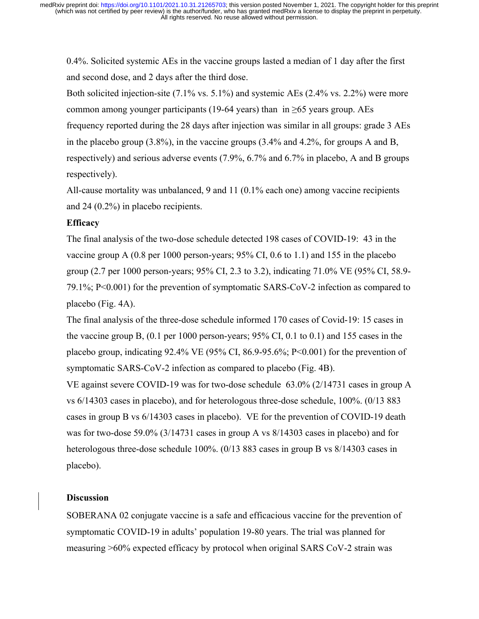0.4%. Solicited systemic AEs in the vaccine groups lasted a median of 1 day after the first and second dose, and 2 days after the third dose.

Both solicited injection-site (7.1% vs. 5.1%) and systemic AEs (2.4% vs. 2.2%) were more common among younger participants (19-64 years) than in  $\geq 65$  years group. AEs frequency reported during the 28 days after injection was similar in all groups: grade 3 AEs in the placebo group (3.8%), in the vaccine groups (3.4% and 4.2%, for groups A and B, respectively) and serious adverse events (7.9%, 6.7% and 6.7% in placebo, A and B groups respectively).

All-cause mortality was unbalanced, 9 and 11 (0.1% each one) among vaccine recipients and 24 (0.2%) in placebo recipients.

### **Efficacy**

The final analysis of the two-dose schedule detected 198 cases of COVID-19: 43 in the vaccine group A (0.8 per 1000 person-years; 95% CI, 0.6 to 1.1) and 155 in the placebo group (2.7 per 1000 person-years; 95% CI, 2.3 to 3.2), indicating 71.0% VE (95% CI, 58.9- 79.1%; P<0.001) for the prevention of symptomatic SARS-CoV-2 infection as compared to placebo (Fig. 4A).

The final analysis of the three-dose schedule informed 170 cases of Covid-19: 15 cases in the vaccine group B, (0.1 per 1000 person-years; 95% CI, 0.1 to 0.1) and 155 cases in the placebo group, indicating 92.4% VE (95% CI, 86.9-95.6%; P<0.001) for the prevention of symptomatic SARS-CoV-2 infection as compared to placebo (Fig. 4B).

VE against severe COVID-19 was for two-dose schedule 63.0% (2/14731 cases in group A vs 6/14303 cases in placebo), and for heterologous three-dose schedule, 100%. (0/13 883 cases in group B vs 6/14303 cases in placebo). VE for the prevention of COVID-19 death was for two-dose 59.0% (3/14731 cases in group A vs 8/14303 cases in placebo) and for heterologous three-dose schedule 100%. (0/13 883 cases in group B vs 8/14303 cases in placebo).

## **Discussion**

SOBERANA 02 conjugate vaccine is a safe and efficacious vaccine for the prevention of symptomatic COVID-19 in adults' population 19-80 years. The trial was planned for measuring >60% expected efficacy by protocol when original SARS CoV-2 strain was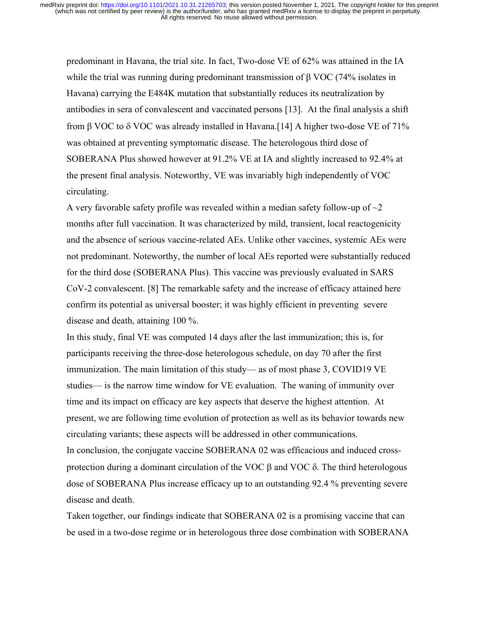predominant in Havana, the trial site. In fact, Two-dose VE of 62% was attained in the IA while the trial was running during predominant transmission of β VOC (74% isolates in Havana) carrying the E484K mutation that substantially reduces its neutralization by antibodies in sera of convalescent and vaccinated persons [13]. At the final analysis a shift from β VOC to  $\delta$  VOC was already installed in Havana.[14] A higher two-dose VE of 71% was obtained at preventing symptomatic disease. The heterologous third dose of SOBERANA Plus showed however at 91.2% VE at IA and slightly increased to 92.4% at the present final analysis. Noteworthy, VE was invariably high independently of VOC circulating.

A very favorable safety profile was revealed within a median safety follow-up of  $\sim$ 2 months after full vaccination. It was characterized by mild, transient, local reactogenicity and the absence of serious vaccine-related AEs. Unlike other vaccines, systemic AEs were not predominant. Noteworthy, the number of local AEs reported were substantially reduced for the third dose (SOBERANA Plus). This vaccine was previously evaluated in SARS CoV-2 convalescent. [8] The remarkable safety and the increase of efficacy attained here confirm its potential as universal booster; it was highly efficient in preventing severe disease and death, attaining 100 %.

In this study, final VE was computed 14 days after the last immunization; this is, for participants receiving the three-dose heterologous schedule, on day 70 after the first immunization. The main limitation of this study— as of most phase 3, COVID19 VE studies— is the narrow time window for VE evaluation. The waning of immunity over time and its impact on efficacy are key aspects that deserve the highest attention. At present, we are following time evolution of protection as well as its behavior towards new circulating variants; these aspects will be addressed in other communications. In conclusion, the conjugate vaccine SOBERANA 02 was efficacious and induced crossprotection during a dominant circulation of the VOC  $\beta$  and VOC  $\delta$ . The third heterologous dose of SOBERANA Plus increase efficacy up to an outstanding 92.4 % preventing severe disease and death.

Taken together, our findings indicate that SOBERANA 02 is a promising vaccine that can be used in a two-dose regime or in heterologous three dose combination with SOBERANA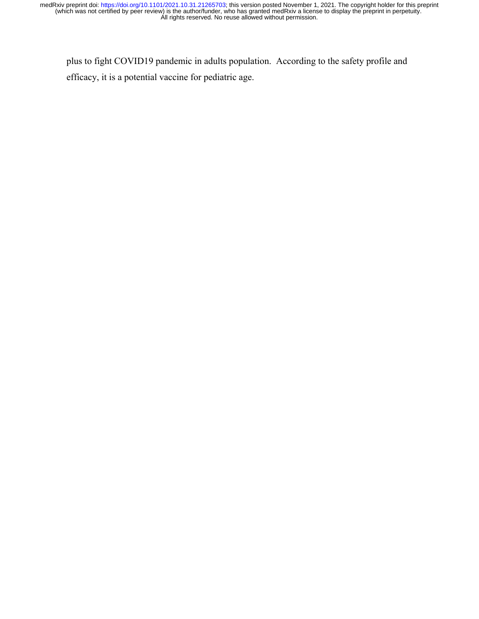plus to fight COVID19 pandemic in adults population. According to the safety profile and efficacy, it is a potential vaccine for pediatric age.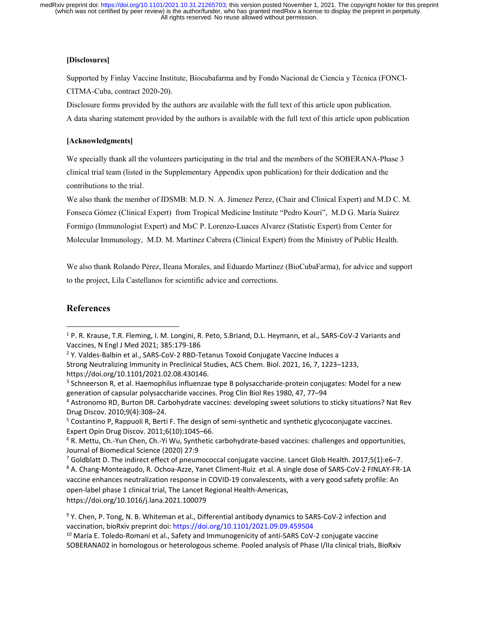#### **[Disclosures]**

Supported by Finlay Vaccine Institute, Biocubafarma and by Fondo Nacional de Ciencia y Técnica (FONCI-CITMA-Cuba, contract 2020-20).

Disclosure forms provided by the authors are available with the full text of this article upon publication. A data sharing statement provided by the authors is available with the full text of this article upon publication

#### **[Acknowledgments]**

We specially thank all the volunteers participating in the trial and the members of the SOBERANA-Phase 3 clinical trial team (listed in the Supplementary Appendix upon publication) for their dedication and the contributions to the trial.

We also thank the member of IDSMB: M.D. N. A. Jimenez Perez, (Chair and Clinical Expert) and M.D C. M. Fonseca Gómez (Clinical Expert) from Tropical Medicine Institute "Pedro Kouri", M.D G. María Suárez Formigo (Immunologist Expert) and MsC P. Lorenzo-Luaces Alvarez (Statistic Expert) from Center for Molecular Immunology, M.D. M. Martínez Cabrera (Clinical Expert) from the Ministry of Public Health.

We also thank Rolando Pérez, Ileana Morales, and Eduardo Martinez (BioCubaFarma), for advice and support to the project, Lila Castellanos for scientific advice and corrections.

#### **References**

https://doi.org/10.1016/j.lana.2021.100079

<sup>1</sup> P. R. Krause, T.R. Fleming, I. M. Longini, R. Peto, S.Briand, D.L. Heymann, et al., SARS‐CoV‐2 Variants and Vaccines, N Engl J Med 2021; 385:179‐186

<sup>2</sup> Y. Valdes‐Balbin et al., SARS‐CoV‐2 RBD‐Tetanus Toxoid Conjugate Vaccine Induces a Strong Neutralizing Immunity in Preclinical Studies, ACS Chem. Biol. 2021, 16, 7, 1223–1233, https://doi.org/10.1101/2021.02.08.430146.

<sup>&</sup>lt;sup>3</sup> Schneerson R, et al. Haemophilus influenzae type B polysaccharide-protein conjugates: Model for a new generation of capsular polysaccharide vaccines. Prog Clin Biol Res 1980, 47, 77–94

<sup>4</sup> Astronomo RD, Burton DR. Carbohydrate vaccines: developing sweet solutions to sticky situations? Nat Rev Drug Discov. 2010;9(4):308–24.

<sup>&</sup>lt;sup>5</sup> Costantino P, Rappuoli R, Berti F. The design of semi-synthetic and synthetic glycoconjugate vaccines. Expert Opin Drug Discov. 2011;6(10):1045–66.

<sup>6</sup> R. Mettu, Ch.‐Yun Chen, Ch.‐Yi Wu, Synthetic carbohydrate‐based vaccines: challenges and opportunities, Journal of Biomedical Science (2020) 27:9

<sup>7</sup> Goldblatt D. The indirect effect of pneumococcal conjugate vaccine. Lancet Glob Health. 2017;5(1):e6–7. <sup>8</sup> A. Chang‐Monteagudo, R. Ochoa‐Azze, Yanet Climent‐Ruiz et al. A single dose of SARS‐CoV‐2 FINLAY‐FR‐1A

vaccine enhances neutralization response in COVID‐19 convalescents, with a very good safety profile: An open‐label phase 1 clinical trial, The Lancet Regional Health‐Americas,

<sup>9</sup> Y. Chen, P. Tong, N. B. Whiteman et al., Differential antibody dynamics to SARS‐CoV‐2 infection and vaccination, bioRxiv preprint doi: https://doi.org/10.1101/2021.09.09.459504

<sup>&</sup>lt;sup>10</sup> Maria E. Toledo-Romani et al., Safety and Immunogenicity of anti-SARS CoV-2 conjugate vaccine SOBERANA02 in homologous or heterologous scheme. Pooled analysis of Phase I/IIa clinical trials, BioRxiv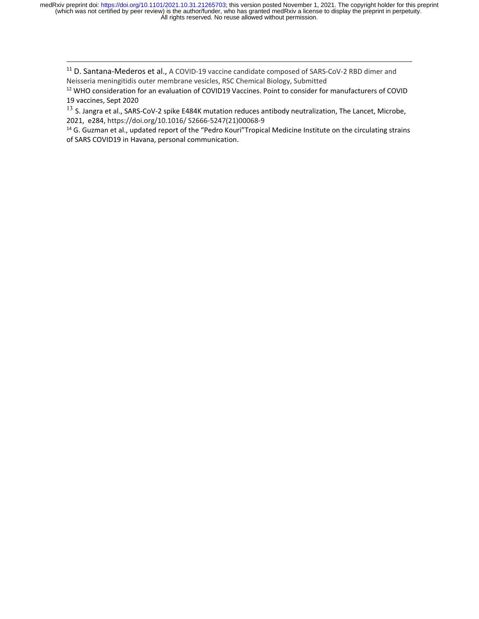<sup>11</sup> D. Santana-Mederos et al., A COVID-19 vaccine candidate composed of SARS-CoV-2 RBD dimer and Neisseria meningitidis outer membrane vesicles, RSC Chemical Biology, Submitted

<sup>12</sup> WHO consideration for an evaluation of COVID19 Vaccines. Point to consider for manufacturers of COVID 19 vaccines, Sept 2020

<u> Andreas Andreas Andreas Andreas Andreas Andreas Andreas Andreas Andreas Andreas Andreas Andreas Andreas Andr</u>

 $^{13}$  S. Jangra et al., SARS-CoV-2 spike E484K mutation reduces antibody neutralization, The Lancet, Microbe, 2021, e284, https://doi.org/10.1016/ S2666‐5247(21)00068‐9

<sup>14</sup> G. Guzman et al., updated report of the "Pedro Kouri"Tropical Medicine Institute on the circulating strains of SARS COVID19 in Havana, personal communication.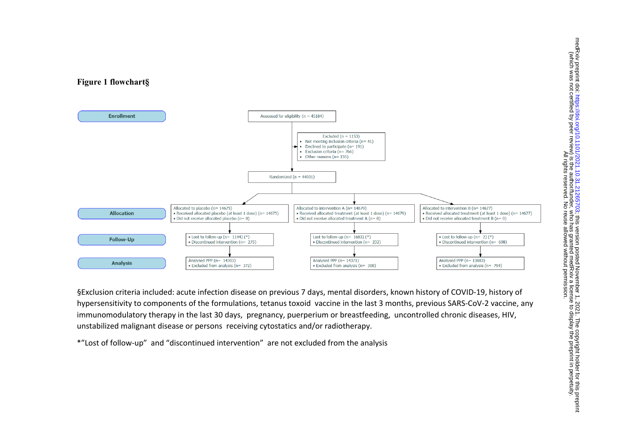

§Exclusion criteria included: acute infection disease on previous 7 days, mental disorders, known history of COVID‐19, history of hypersensitivity to components of the formulations, tetanus toxoid vaccine in the last 3 months, previous SARS‐CoV‐2 vaccine, any immunomodulatory therapy in the last 30 days, pregnancy, puerperium or breastfeeding, uncontrolled chronic diseases, HIV, unstabilized malignant disease or persons receiving cytostatics and/or radiotherapy.

\*"Lost of follow‐up" and "discontinued intervention" are not excluded from the analysis

**Figure 1 flowchart§**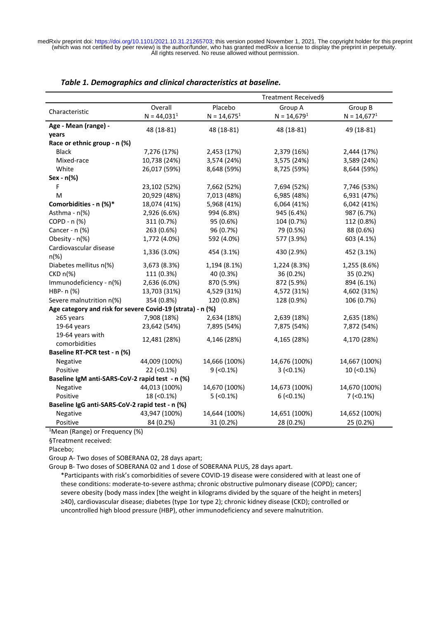|                                                            |               | Treatment Received§ |               |               |  |  |  |  |
|------------------------------------------------------------|---------------|---------------------|---------------|---------------|--|--|--|--|
| Characteristic                                             | Overall       | Placebo             | Group A       | Group B       |  |  |  |  |
|                                                            | $N = 44,0311$ | $N = 14,6751$       | $N = 14,6791$ | $N = 14,6771$ |  |  |  |  |
| Age - Mean (range) -                                       | 48 (18-81)    | 48 (18-81)          | 48 (18-81)    | 49 (18-81)    |  |  |  |  |
| years                                                      |               |                     |               |               |  |  |  |  |
| Race or ethnic group - n (%)                               |               |                     |               |               |  |  |  |  |
| <b>Black</b>                                               | 7,276 (17%)   | 2,453 (17%)         | 2,379 (16%)   | 2,444 (17%)   |  |  |  |  |
| Mixed-race                                                 | 10,738 (24%)  | 3,574 (24%)         | 3,575 (24%)   | 3,589 (24%)   |  |  |  |  |
| White                                                      | 26,017 (59%)  | 8,648 (59%)         | 8,725 (59%)   | 8,644 (59%)   |  |  |  |  |
| Sex - n(%)                                                 |               |                     |               |               |  |  |  |  |
| F                                                          | 23,102 (52%)  | 7,662 (52%)         | 7,694 (52%)   | 7,746 (53%)   |  |  |  |  |
| M                                                          | 20,929 (48%)  | 7,013 (48%)         | 6,985 (48%)   | 6,931 (47%)   |  |  |  |  |
| Comorbidities - n (%)*                                     | 18,074 (41%)  | 5,968 (41%)         | 6,064 (41%)   | 6,042 (41%)   |  |  |  |  |
| Asthma - n(%)                                              | 2,926 (6.6%)  | 994 (6.8%)          | 945 (6.4%)    | 987 (6.7%)    |  |  |  |  |
| COPD - n (%)                                               | 311 (0.7%)    | 95 (0.6%)           | 104 (0.7%)    | 112 (0.8%)    |  |  |  |  |
| Cancer - n (%)                                             | 263 (0.6%)    | 96 (0.7%)           | 79 (0.5%)     | 88 (0.6%)     |  |  |  |  |
| Obesity - n(%)                                             | 1,772 (4.0%)  | 592 (4.0%)          | 577 (3.9%)    | 603 (4.1%)    |  |  |  |  |
| Cardiovascular disease<br>$n(\%)$                          | 1,336 (3.0%)  | 454 (3.1%)          | 430 (2.9%)    | 452 (3.1%)    |  |  |  |  |
| Diabetes mellitus n(%)                                     | 3,673 (8.3%)  | 1,194 (8.1%)        | 1,224 (8.3%)  | 1,255 (8.6%)  |  |  |  |  |
| $CKD n(\%)$                                                | 111 (0.3%)    | 40 (0.3%)           | 36 (0.2%)     | 35 (0.2%)     |  |  |  |  |
| Immunodeficiency - n(%)                                    | 2,636 (6.0%)  | 870 (5.9%)          | 872 (5.9%)    | 894 (6.1%)    |  |  |  |  |
| HBP- n (%)                                                 | 13,703 (31%)  | 4,529 (31%)         | 4,572 (31%)   | 4,602 (31%)   |  |  |  |  |
| Severe malnutrition n(%)                                   | 354 (0.8%)    | 120 (0.8%)          | 128 (0.9%)    | 106 (0.7%)    |  |  |  |  |
| Age category and risk for severe Covid-19 (strata) - n (%) |               |                     |               |               |  |  |  |  |
| ≥65 years                                                  | 7,908 (18%)   | 2,634 (18%)         | 2,639 (18%)   | 2,635 (18%)   |  |  |  |  |
| 19-64 years                                                | 23,642 (54%)  | 7,895 (54%)         | 7,875 (54%)   | 7,872 (54%)   |  |  |  |  |
| 19-64 years with                                           | 12,481 (28%)  | 4,146 (28%)         | 4,165 (28%)   | 4,170 (28%)   |  |  |  |  |
| comorbidities                                              |               |                     |               |               |  |  |  |  |
| Baseline RT-PCR test - n (%)                               |               |                     |               |               |  |  |  |  |
| Negative                                                   | 44,009 (100%) | 14,666 (100%)       | 14,676 (100%) | 14,667 (100%) |  |  |  |  |
| Positive                                                   | $22 (-0.1%)$  | $9$ (<0.1%)         | $3 (-0.1\%)$  | $10 (-0.1\%)$ |  |  |  |  |
| Baseline IgM anti-SARS-CoV-2 rapid test - n (%)            |               |                     |               |               |  |  |  |  |
| Negative                                                   | 44,013 (100%) | 14,670 (100%)       | 14,673 (100%) | 14,670 (100%) |  |  |  |  |
| Positive                                                   | 18 (< 0.1%)   | $5$ (<0.1%)         | $6$ (<0.1%)   | $7$ (<0.1%)   |  |  |  |  |
| Baseline IgG anti-SARS-CoV-2 rapid test - n (%)            |               |                     |               |               |  |  |  |  |
| Negative                                                   | 43,947 (100%) | 14,644 (100%)       | 14,651 (100%) | 14,652 (100%) |  |  |  |  |
| Positive                                                   | 84 (0.2%)     | 31 (0.2%)           | 28 (0.2%)     | 25 (0.2%)     |  |  |  |  |

#### *Table 1. Demographics and clinical characteristics at baseline.*

1 Mean (Range) or Frequency (%)

§Treatment received:

Placebo;

Group A‐ Two doses of SOBERANA 02, 28 days apart;

Group B‐ Two doses of SOBERANA 02 and 1 dose of SOBERANA PLUS, 28 days apart.

\*Participants with risk's comorbidities of severe COVID‐19 disease were considered with at least one of these conditions: moderate‐to‐severe asthma; chronic obstructive pulmonary disease (COPD); cancer; severe obesity (body mass index [the weight in kilograms divided by the square of the height in meters] ≥40), cardiovascular disease; diabetes (type 1or type 2); chronic kidney disease (CKD); controlled or uncontrolled high blood pressure (HBP), other immunodeficiency and severe malnutrition.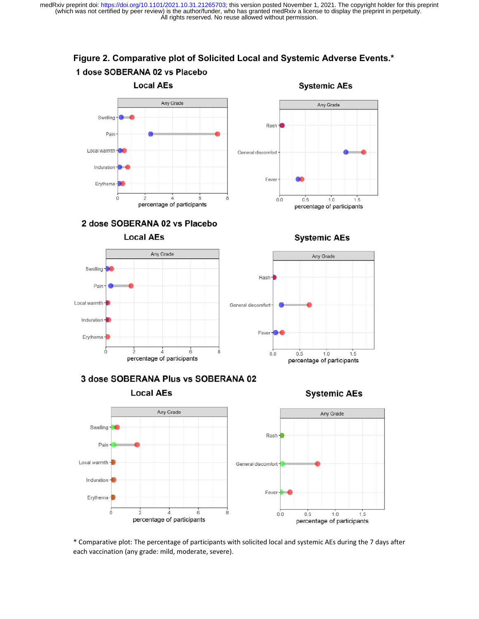

\* Comparative plot: The percentage of participants with solicited local and systemic AEs during the 7 days after each vaccination (any grade: mild, moderate, severe).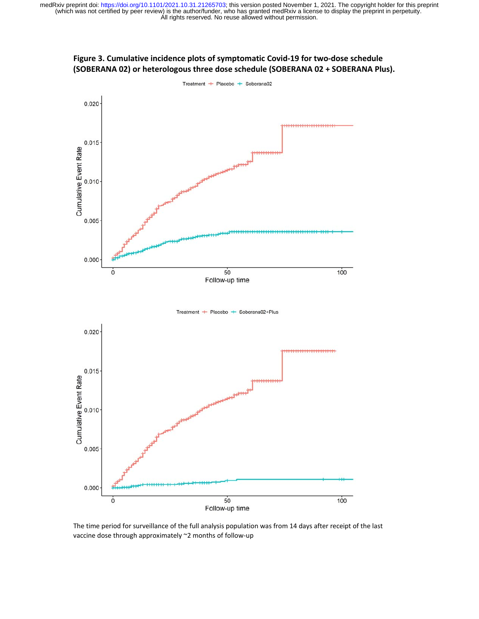



The time period for surveillance of the full analysis population was from 14 days after receipt of the last vaccine dose through approximately ~2 months of follow‐up